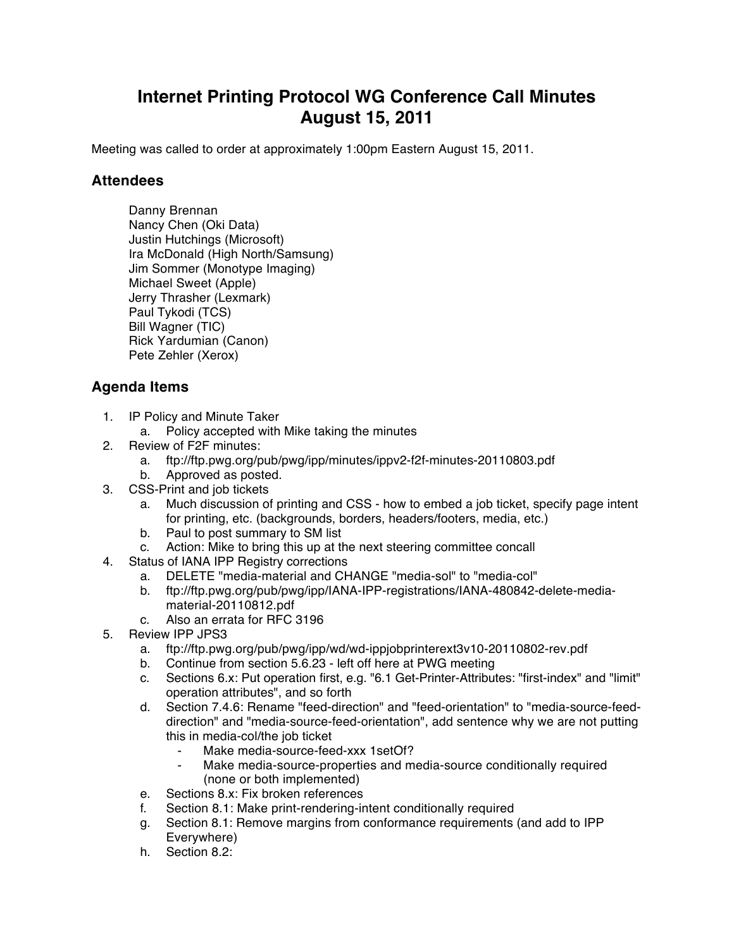## **Internet Printing Protocol WG Conference Call Minutes August 15, 2011**

Meeting was called to order at approximately 1:00pm Eastern August 15, 2011.

## **Attendees**

Danny Brennan Nancy Chen (Oki Data) Justin Hutchings (Microsoft) Ira McDonald (High North/Samsung) Jim Sommer (Monotype Imaging) Michael Sweet (Apple) Jerry Thrasher (Lexmark) Paul Tykodi (TCS) Bill Wagner (TIC) Rick Yardumian (Canon) Pete Zehler (Xerox)

## **Agenda Items**

- 1. IP Policy and Minute Taker
	- a. Policy accepted with Mike taking the minutes
- 2. Review of F2F minutes:
	- a. ftp://ftp.pwg.org/pub/pwg/ipp/minutes/ippv2-f2f-minutes-20110803.pdf
	- b. Approved as posted.
- 3. CSS-Print and job tickets
	- a. Much discussion of printing and CSS how to embed a job ticket, specify page intent for printing, etc. (backgrounds, borders, headers/footers, media, etc.)
	- b. Paul to post summary to SM list
	- c. Action: Mike to bring this up at the next steering committee concall
- 4. Status of IANA IPP Registry corrections
	- a. DELETE "media-material and CHANGE "media-sol" to "media-col"
	- b. ftp://ftp.pwg.org/pub/pwg/ipp/IANA-IPP-registrations/IANA-480842-delete-mediamaterial-20110812.pdf
	- c. Also an errata for RFC 3196
- 5. Review IPP JPS3
	- a. ftp://ftp.pwg.org/pub/pwg/ipp/wd/wd-ippjobprinterext3v10-20110802-rev.pdf
	- b. Continue from section 5.6.23 left off here at PWG meeting
	- c. Sections 6.x: Put operation first, e.g. "6.1 Get-Printer-Attributes: "first-index" and "limit" operation attributes", and so forth
	- d. Section 7.4.6: Rename "feed-direction" and "feed-orientation" to "media-source-feeddirection" and "media-source-feed-orientation", add sentence why we are not putting this in media-col/the job ticket
		- Make media-source-feed-xxx 1setOf?
		- Make media-source-properties and media-source conditionally required (none or both implemented)
	- e. Sections 8.x: Fix broken references
	- f. Section 8.1: Make print-rendering-intent conditionally required
	- g. Section 8.1: Remove margins from conformance requirements (and add to IPP Everywhere)
	- h. Section 8.2: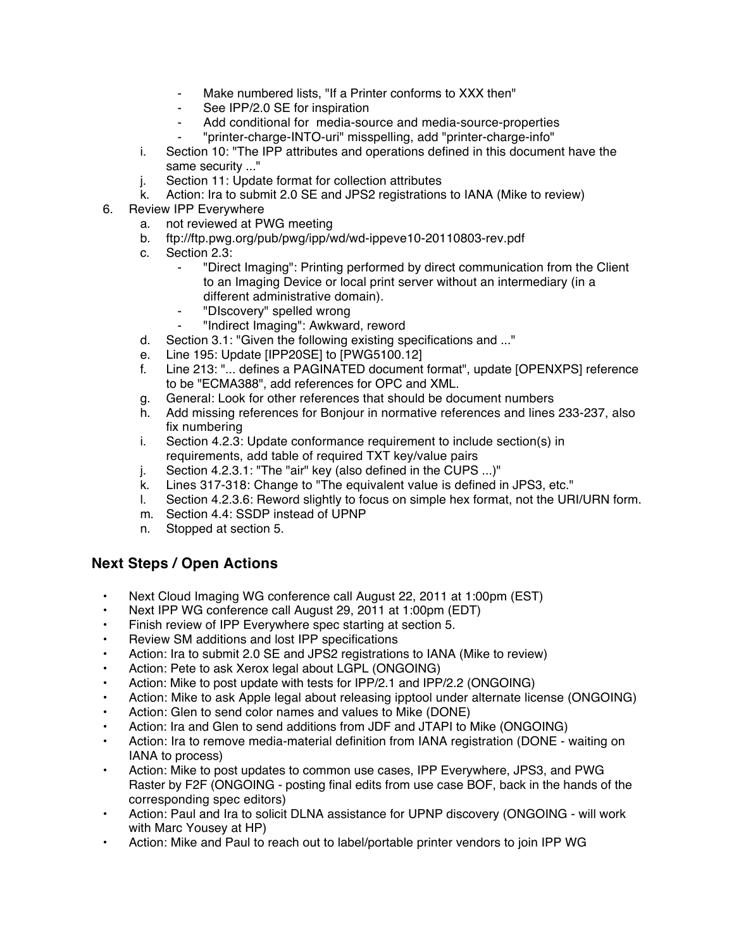- Make numbered lists, "If a Printer conforms to XXX then"
- See IPP/2.0 SE for inspiration
- Add conditional for media-source and media-source-properties
- ⁃ "printer-charge-INTO-uri" misspelling, add "printer-charge-info"
- i. Section 10: "The IPP attributes and operations defined in this document have the same security ..."
- j. Section 11: Update format for collection attributes
- k. Action: Ira to submit 2.0 SE and JPS2 registrations to IANA (Mike to review)
- 6. Review IPP Everywhere
	- a. not reviewed at PWG meeting
	- b. ftp://ftp.pwg.org/pub/pwg/ipp/wd/wd-ippeve10-20110803-rev.pdf
	- c. Section 2.3:
		- ⁃ "Direct Imaging": Printing performed by direct communication from the Client to an Imaging Device or local print server without an intermediary (in a different administrative domain).
		- ⁃ "DIscovery" spelled wrong
		- ⁃ "Indirect Imaging": Awkward, reword
	- d. Section 3.1: "Given the following existing specifications and ..."
	- e. Line 195: Update [IPP20SE] to [PWG5100.12]
	- f. Line 213: "... defines a PAGINATED document format", update [OPENXPS] reference to be "ECMA388", add references for OPC and XML.
	- g. General: Look for other references that should be document numbers
	- h. Add missing references for Bonjour in normative references and lines 233-237, also fix numbering
	- i. Section 4.2.3: Update conformance requirement to include section(s) in requirements, add table of required TXT key/value pairs
	- j. Section 4.2.3.1: "The "air" key (also defined in the CUPS ...)"
	- k. Lines 317-318: Change to "The equivalent value is defined in JPS3, etc."
	- l. Section 4.2.3.6: Reword slightly to focus on simple hex format, not the URI/URN form.
	- m. Section 4.4: SSDP instead of UPNP
	- n. Stopped at section 5.

## **Next Steps / Open Actions**

- Next Cloud Imaging WG conference call August 22, 2011 at 1:00pm (EST)
- Next IPP WG conference call August 29, 2011 at 1:00pm (EDT)
- Finish review of IPP Everywhere spec starting at section 5.
- Review SM additions and lost IPP specifications
- Action: Ira to submit 2.0 SE and JPS2 registrations to IANA (Mike to review)
- Action: Pete to ask Xerox legal about LGPL (ONGOING)
- Action: Mike to post update with tests for IPP/2.1 and IPP/2.2 (ONGOING)
- Action: Mike to ask Apple legal about releasing ipptool under alternate license (ONGOING)
- Action: Glen to send color names and values to Mike (DONE)
- Action: Ira and Glen to send additions from JDF and JTAPI to Mike (ONGOING)
- Action: Ira to remove media-material definition from IANA registration (DONE waiting on IANA to process)
- Action: Mike to post updates to common use cases, IPP Everywhere, JPS3, and PWG Raster by F2F (ONGOING - posting final edits from use case BOF, back in the hands of the corresponding spec editors)
- Action: Paul and Ira to solicit DLNA assistance for UPNP discovery (ONGOING will work with Marc Yousey at HP)
- Action: Mike and Paul to reach out to label/portable printer vendors to join IPP WG